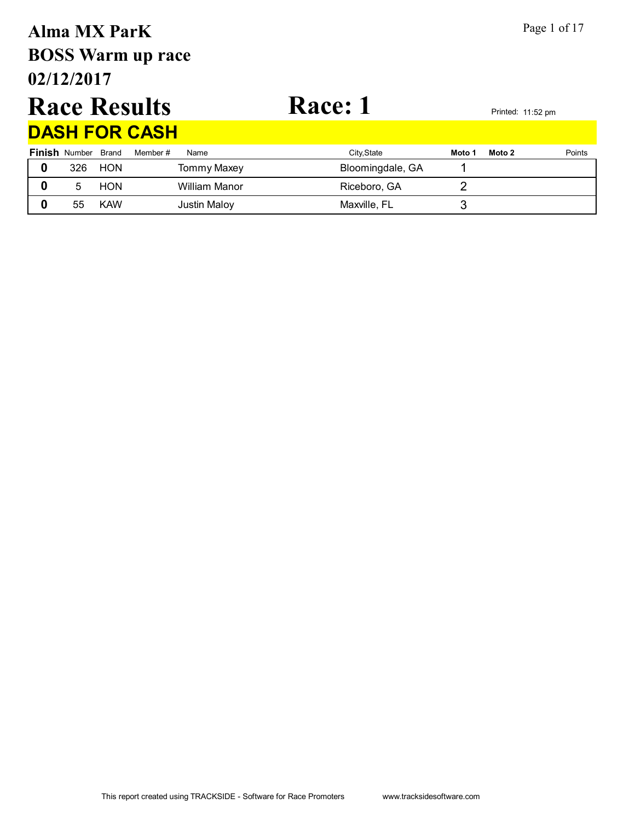# **02/12/2017 BOSS Warm up race Alma MX ParK** Page 1 of 17

# Race Results Race: 1<br>
Race: 1

| <b>DASH FOR CASH</b>       |            |                     |                  |        |        |        |  |  |  |  |  |  |
|----------------------------|------------|---------------------|------------------|--------|--------|--------|--|--|--|--|--|--|
| <b>Finish</b> Number Brand |            | Member #<br>Name    | City, State      | Moto 1 | Moto 2 | Points |  |  |  |  |  |  |
| 326                        | <b>HON</b> | <b>Tommy Maxey</b>  | Bloomingdale, GA |        |        |        |  |  |  |  |  |  |
| 5                          | <b>HON</b> | William Manor       | Riceboro, GA     |        |        |        |  |  |  |  |  |  |
| 55                         | <b>KAW</b> | <b>Justin Maloy</b> | Maxville, FL     |        |        |        |  |  |  |  |  |  |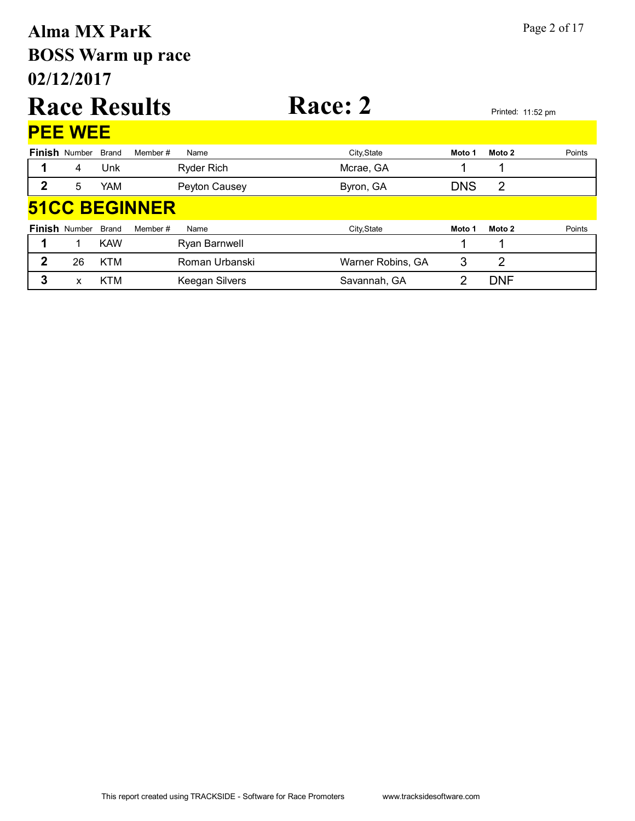# **02/12/2017 BOSS Warm up race Alma MX ParK** Page 2 of 17

|   |                      |              | <b>Race Results</b> |                   | Race: 2     |            |                | Printed: 11:52 pm |  |  |  |
|---|----------------------|--------------|---------------------|-------------------|-------------|------------|----------------|-------------------|--|--|--|
|   | <b>PEE WEE</b>       |              |                     |                   |             |            |                |                   |  |  |  |
|   | <b>Finish Number</b> | <b>Brand</b> | Member#             | Name              | City, State | Moto 1     | Moto 2         | Points            |  |  |  |
|   | 4                    | Unk          |                     | <b>Ryder Rich</b> | Mcrae, GA   |            |                |                   |  |  |  |
| 2 | 5                    | <b>YAM</b>   |                     | Peyton Causey     | Byron, GA   | <b>DNS</b> | $\overline{2}$ |                   |  |  |  |
|   | <b>51CC BEGINNER</b> |              |                     |                   |             |            |                |                   |  |  |  |
|   | <b>Finish Number</b> | <b>Brand</b> | Member#             | Name              | City, State | Moto 1     | Moto 2         | Points            |  |  |  |
|   |                      | <b>KAW</b>   |                     | Ryan Barnwell     |             |            |                |                   |  |  |  |

**2** 26 KTM Roman Urbanski Warner Robins, GA 3 2 **3** x KTM Keegan Silvers Savannah, GA 2 DNF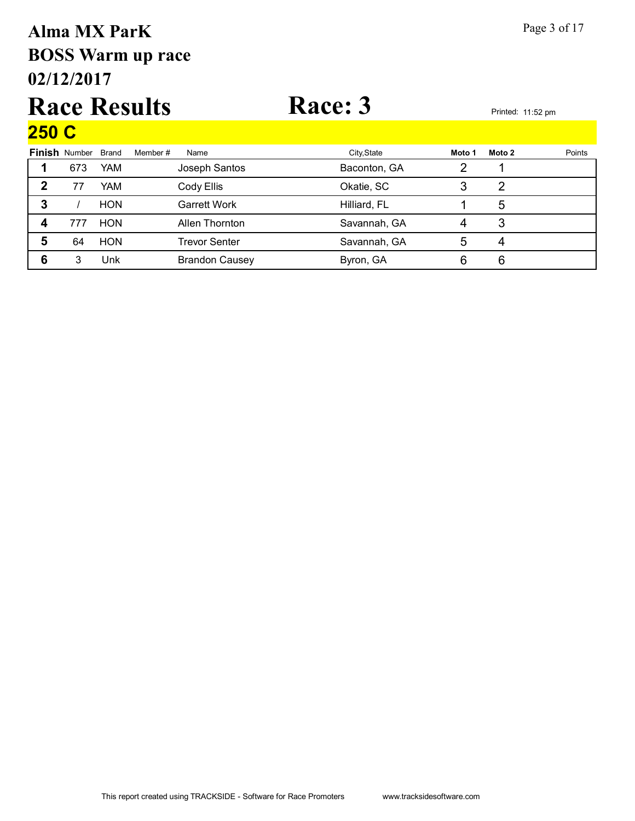## **02/12/2017 BOSS Warm up race Alma MX ParK** Page 3 of 17

### Race Results Race: 3<br>Printed: 11:52 pm  $250<sub>C</sub>$

| <u>ZUV V</u> |                      |              |                       |              |        |        |        |
|--------------|----------------------|--------------|-----------------------|--------------|--------|--------|--------|
|              | <b>Finish Number</b> | <b>Brand</b> | Member#<br>Name       | City, State  | Moto 1 | Moto 2 | Points |
|              | 673                  | YAM          | Joseph Santos         | Baconton, GA |        |        |        |
| 2            | 77                   | YAM          | Cody Ellis            | Okatie, SC   |        | 2      |        |
| 3            |                      | <b>HON</b>   | Garrett Work          | Hilliard, FL |        | 5      |        |
|              | 777                  | <b>HON</b>   | Allen Thornton        | Savannah, GA |        | 3      |        |
| 5            | 64                   | <b>HON</b>   | Trevor Senter         | Savannah, GA | 5      | 4      |        |
| 6            | 3                    | Unk          | <b>Brandon Causey</b> | Byron, GA    | 6      | 6      |        |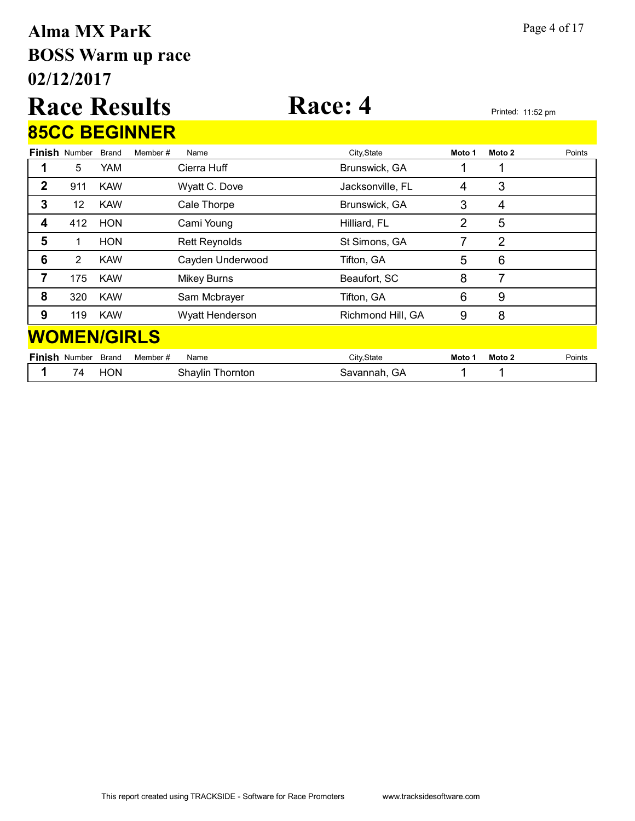## **02/12/2017 BOSS Warm up race Alma MX ParK** Page 4 of 17

# **Race Results Race: 4** Printed: 11:52 pm

|   |                      |            | <b>85CC BEGINNER</b> |                      |                   |        |                |        |
|---|----------------------|------------|----------------------|----------------------|-------------------|--------|----------------|--------|
|   | <b>Finish Number</b> | Brand      | Member#              | Name                 | City, State       | Moto 1 | Moto 2         | Points |
|   | 5                    | YAM.       |                      | Cierra Huff          | Brunswick, GA     |        | 1              |        |
| 2 | 911                  | <b>KAW</b> |                      | Wyatt C. Dove        | Jacksonville, FL  | 4      | 3              |        |
| 3 | 12                   | <b>KAW</b> |                      | Cale Thorpe          | Brunswick, GA     | 3      | $\overline{4}$ |        |
| 4 | 412                  | <b>HON</b> |                      | Cami Young           | Hilliard, FL      | 2      | 5              |        |
| 5 | 1                    | <b>HON</b> |                      | <b>Rett Reynolds</b> | St Simons, GA     | 7      | 2              |        |
| 6 | $\overline{2}$       | <b>KAW</b> |                      | Cayden Underwood     | Tifton, GA        | 5      | 6              |        |
| 7 | 175                  | <b>KAW</b> |                      | <b>Mikey Burns</b>   | Beaufort, SC      | 8      | 7              |        |
| 8 | 320                  | <b>KAW</b> |                      | Sam Mcbrayer         | Tifton, GA        | 6      | 9              |        |
| 9 | 119                  | <b>KAW</b> |                      | Wyatt Henderson      | Richmond Hill, GA | 9      | 8              |        |
|   | <b>WOMEN/GIRLS</b>   |            |                      |                      |                   |        |                |        |
|   | <b>Finish Number</b> | Brand      | Member#              | Name                 | City, State       | Moto 1 | Moto 2         | Points |
|   | 74                   | <b>HON</b> |                      | Shaylin Thornton     | Savannah, GA      |        |                |        |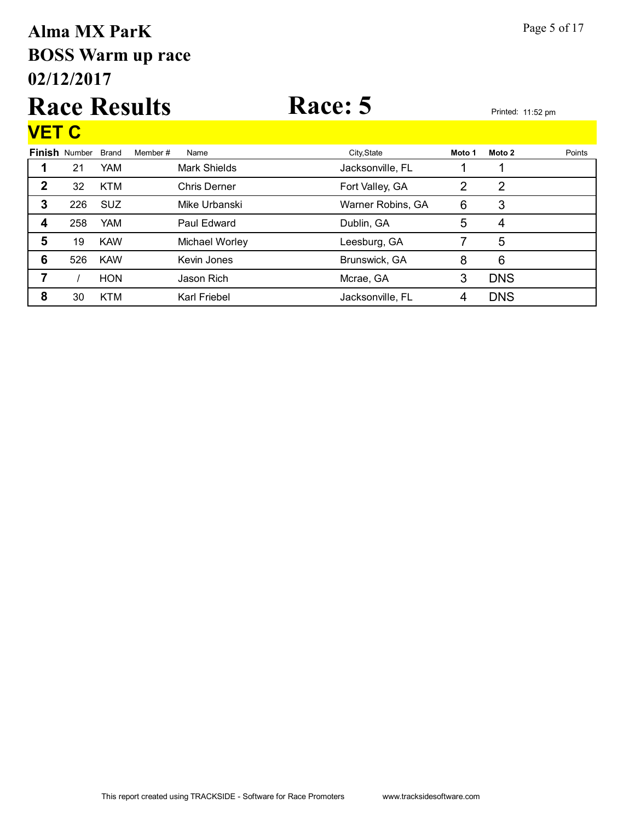## **02/12/2017 BOSS Warm up race Alma MX ParK** Page 5 of 17

### Race Results Race: 5 **VET C**

| <u>v L I V</u> |                      |            |         |                     |                   |        |            |        |
|----------------|----------------------|------------|---------|---------------------|-------------------|--------|------------|--------|
|                | <b>Finish Number</b> | Brand      | Member# | Name                | City, State       | Moto 1 | Moto 2     | Points |
|                | 21                   | <b>YAM</b> |         | Mark Shields        | Jacksonville, FL  |        |            |        |
| $\mathbf 2$    | 32                   | <b>KTM</b> |         | <b>Chris Derner</b> | Fort Valley, GA   | 2      | 2          |        |
| 3              | 226                  | <b>SUZ</b> |         | Mike Urbanski       | Warner Robins, GA | 6      | 3          |        |
| 4              | 258                  | <b>YAM</b> |         | Paul Edward         | Dublin, GA        | 5      | 4          |        |
| 5              | 19                   | <b>KAW</b> |         | Michael Worley      | Leesburg, GA      |        | 5          |        |
| 6              | 526                  | <b>KAW</b> |         | Kevin Jones         | Brunswick, GA     | 8      | 6          |        |
|                |                      | <b>HON</b> |         | Jason Rich          | Mcrae, GA         | 3      | <b>DNS</b> |        |
| 8              | 30                   | <b>KTM</b> |         | Karl Friebel        | Jacksonville, FL  | 4      | <b>DNS</b> |        |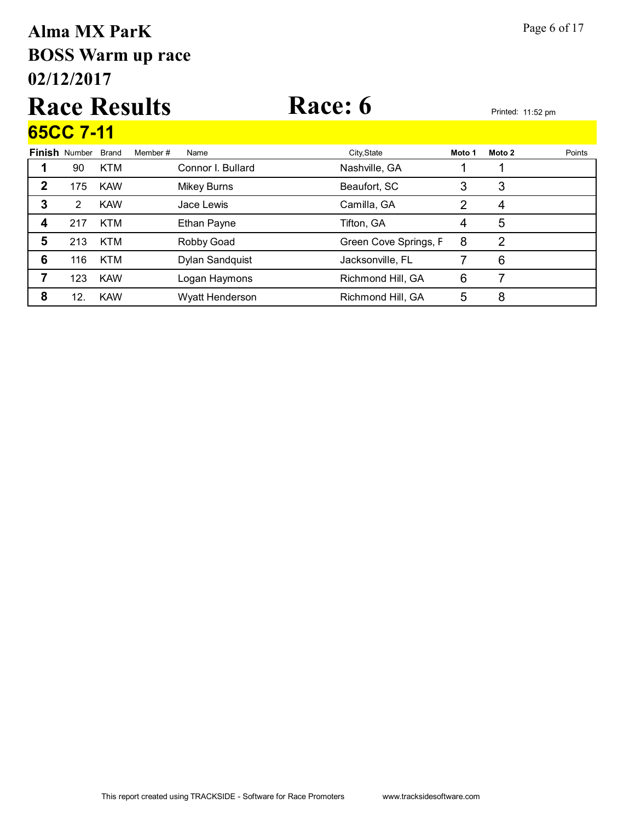# **02/12/2017 BOSS Warm up race Alma MX ParK** Page 6 of 17

### Race Results Race: 6 **65CC 7-11**

|   | 0000 T-II            |              |                   |                       |        |        |        |
|---|----------------------|--------------|-------------------|-----------------------|--------|--------|--------|
|   | <b>Finish Number</b> | <b>Brand</b> | Member#<br>Name   | City, State           | Moto 1 | Moto 2 | Points |
|   | 90                   | <b>KTM</b>   | Connor I. Bullard | Nashville, GA         |        |        |        |
| 2 | 175                  | <b>KAW</b>   | Mikey Burns       | Beaufort, SC          | 3      | 3      |        |
| 3 | 2                    | <b>KAW</b>   | Jace Lewis        | Camilla, GA           | 2      | 4      |        |
| 4 | 217                  | <b>KTM</b>   | Ethan Payne       | Tifton, GA            | 4      | 5      |        |
| 5 | 213                  | <b>KTM</b>   | Robby Goad        | Green Cove Springs, F | 8      | 2      |        |
| 6 | 116                  | <b>KTM</b>   | Dylan Sandquist   | Jacksonville, FL      |        | 6      |        |
| 7 | 123                  | <b>KAW</b>   | Logan Haymons     | Richmond Hill, GA     | 6      |        |        |
| 8 | 12.                  | <b>KAW</b>   | Wyatt Henderson   | Richmond Hill, GA     | 5      | 8      |        |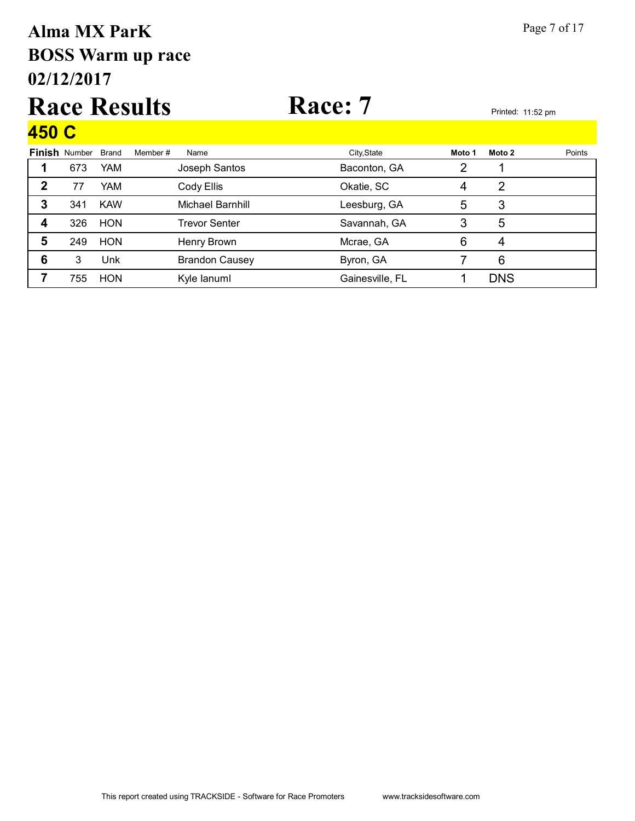## **02/12/2017 BOSS Warm up race Alma MX ParK** Page 7 of 17

### Race Results Race: 7 **450 C**

| 40U V |                      |              |         |                       |                 |        |            |        |
|-------|----------------------|--------------|---------|-----------------------|-----------------|--------|------------|--------|
|       | <b>Finish Number</b> | <b>Brand</b> | Member# | Name                  | City, State     | Moto 1 | Moto 2     | Points |
|       | 673                  | <b>YAM</b>   |         | Joseph Santos         | Baconton, GA    | 2      |            |        |
| 2     | 77                   | <b>YAM</b>   |         | Cody Ellis            | Okatie, SC      | 4      | 2          |        |
| 3     | 341                  | <b>KAW</b>   |         | Michael Barnhill      | Leesburg, GA    | 5      | 3          |        |
| 4     | 326                  | <b>HON</b>   |         | <b>Trevor Senter</b>  | Savannah, GA    | 3      | 5          |        |
| 5     | 249                  | <b>HON</b>   |         | Henry Brown           | Mcrae, GA       | 6      | 4          |        |
| 6     | 3                    | Unk          |         | <b>Brandon Causey</b> | Byron, GA       |        | 6          |        |
|       | 755                  | <b>HON</b>   |         | Kyle lanuml           | Gainesville, FL |        | <b>DNS</b> |        |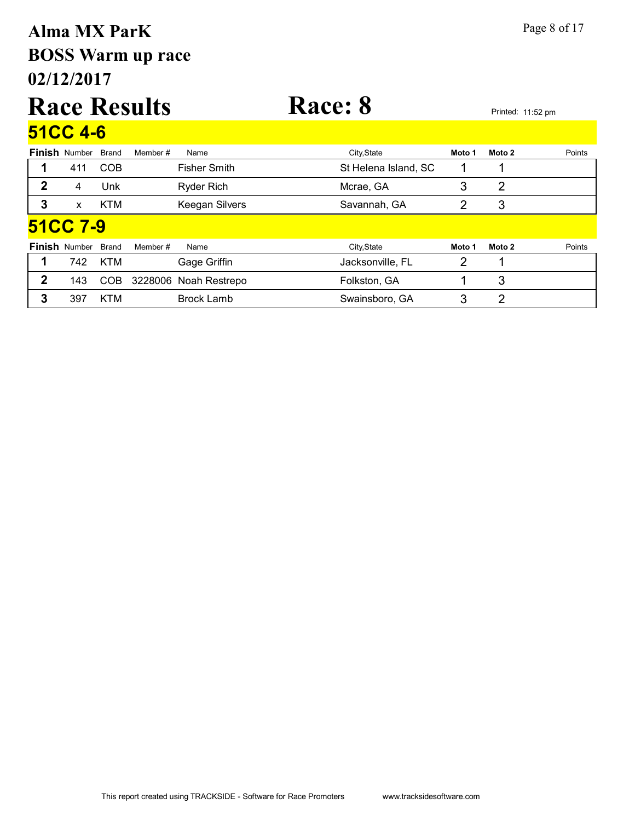# **02/12/2017 BOSS Warm up race Alma MX ParK** Page 8 of 17

### Race Results Race: 8 Printed: 11:52 pm **51CC 4-6**

|              | <b>Finish Number</b> | <b>Brand</b> | Member # | Name                  | City, State          | Moto 1 | Moto 2 | Points |
|--------------|----------------------|--------------|----------|-----------------------|----------------------|--------|--------|--------|
|              | 411                  | <b>COB</b>   |          | <b>Fisher Smith</b>   | St Helena Island, SC |        |        |        |
| 2            | 4                    | Unk          |          | <b>Ryder Rich</b>     | Mcrae, GA            | 3      | 2      |        |
| 3            | X                    | <b>KTM</b>   |          | Keegan Silvers        | Savannah, GA         | 2      | 3      |        |
|              | <b>51CC 7-9</b>      |              |          |                       |                      |        |        |        |
|              | <b>Finish Number</b> | <b>Brand</b> | Member # | Name                  | City, State          | Moto 1 | Moto 2 | Points |
|              | 742                  | <b>KTM</b>   |          | Gage Griffin          | Jacksonville, FL     | 2      |        |        |
| $\mathbf{2}$ | 143                  | COB          |          | 3228006 Noah Restrepo | Folkston, GA         |        | 3      |        |
| 3            | 397                  | <b>KTM</b>   |          | <b>Brock Lamb</b>     | Swainsboro, GA       | 3      | 2      |        |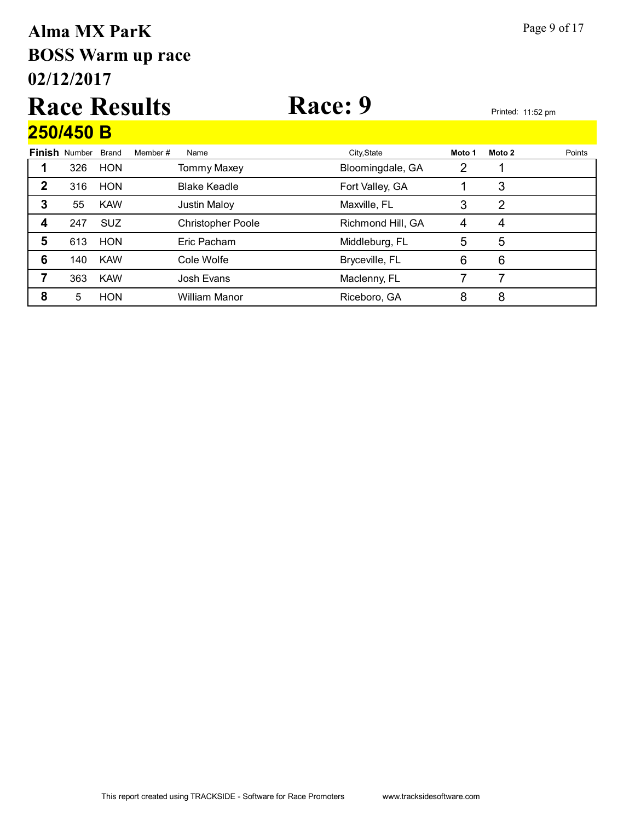# **02/12/2017 BOSS Warm up race Alma MX ParK** Page 9 of 17

### Race Results Race: 9 **250/450 B**

| Finish | Number | <b>Brand</b> | Member# | Name                     | City, State       | Moto 1 | Moto 2         | Points |
|--------|--------|--------------|---------|--------------------------|-------------------|--------|----------------|--------|
|        | 326    | <b>HON</b>   |         | <b>Tommy Maxey</b>       | Bloomingdale, GA  | 2      |                |        |
| 2      | 316    | <b>HON</b>   |         | <b>Blake Keadle</b>      | Fort Valley, GA   |        | 3              |        |
| 3      | 55     | <b>KAW</b>   |         | <b>Justin Maloy</b>      | Maxville, FL      | 3      | 2              |        |
| 4      | 247    | <b>SUZ</b>   |         | <b>Christopher Poole</b> | Richmond Hill, GA | 4      | $\overline{4}$ |        |
| 5      | 613    | <b>HON</b>   |         | Eric Pacham              | Middleburg, FL    | 5      | 5              |        |
| 6      | 140    | <b>KAW</b>   |         | Cole Wolfe               | Bryceville, FL    | 6      | 6              |        |
|        | 363    | <b>KAW</b>   |         | Josh Evans               | Maclenny, FL      |        |                |        |
| 8      | 5      | <b>HON</b>   |         | <b>William Manor</b>     | Riceboro, GA      | 8      | 8              |        |
|        |        |              |         |                          |                   |        |                |        |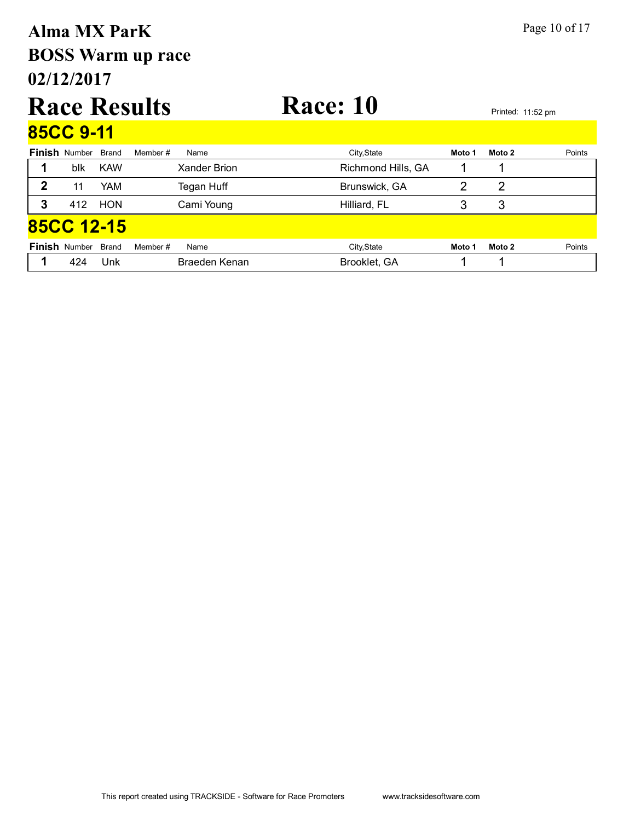# **02/12/2017 BOSS Warm up race Alma MX ParK** Page 10 of 17

### Race Results Race: 10<br>Printed: 11:52 pm **85CC 9-11**

|                   | 00UU 9-TT            |            |                 |                    |        |        |        |
|-------------------|----------------------|------------|-----------------|--------------------|--------|--------|--------|
|                   | <b>Finish Number</b> | Brand      | Member#<br>Name | City, State        | Moto 1 | Moto 2 | Points |
|                   | blk                  | <b>KAW</b> | Xander Brion    | Richmond Hills, GA |        |        |        |
| 2                 | 11                   | <b>YAM</b> | Tegan Huff      | Brunswick, GA      |        | 2      |        |
| 3                 | 412                  | <b>HON</b> | Cami Young      | Hilliard, FL       |        | 3      |        |
| <b>85CC 12-15</b> |                      |            |                 |                    |        |        |        |
|                   | <b>Finish Number</b> | Brand      | Member#<br>Name | City, State        | Moto 1 | Moto 2 | Points |
|                   | 424                  | Unk        | Braeden Kenan   | Brooklet, GA       |        |        |        |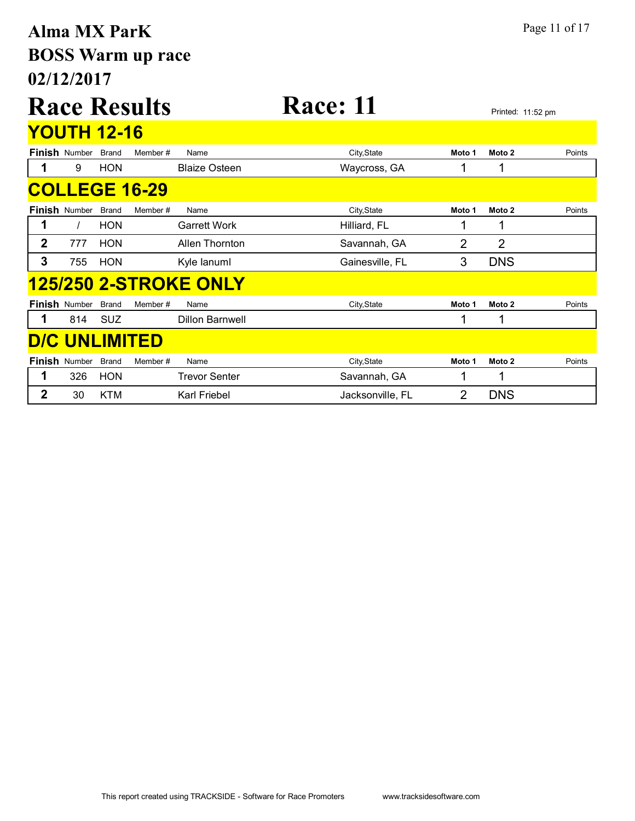# **02/12/2017 BOSS Warm up race Alma MX ParK** Page 11 of 17

### Race Results Race: 11 **YOUTH 10-16**

|                | <u>YUU I FI 12-16</u> |              |                      |                              |                  |        |                |        |
|----------------|-----------------------|--------------|----------------------|------------------------------|------------------|--------|----------------|--------|
|                | <b>Finish Number</b>  | <b>Brand</b> | Member#              | Name                         | City, State      | Moto 1 | Moto 2         | Points |
| $\mathbf 1$    | 9                     | <b>HON</b>   |                      | <b>Blaize Osteen</b>         | Waycross, GA     |        | 1              |        |
|                |                       |              | <b>COLLEGE 16-29</b> |                              |                  |        |                |        |
|                | <b>Finish Number</b>  | Brand        | Member#              | Name                         | City, State      | Moto 1 | Moto 2         | Points |
|                |                       | <b>HON</b>   |                      | <b>Garrett Work</b>          | Hilliard, FL     |        | 1              |        |
| $\mathbf{2}$   | 777                   | <b>HON</b>   |                      | Allen Thornton               | Savannah, GA     | 2      | $\overline{2}$ |        |
| 3              | 755                   | <b>HON</b>   |                      | Kyle lanuml                  | Gainesville, FL  | 3      | <b>DNS</b>     |        |
|                |                       |              |                      | <b>125/250 2-STROKE ONLY</b> |                  |        |                |        |
|                | <b>Finish Number</b>  | <b>Brand</b> | Member#              | Name                         | City, State      | Moto 1 | Moto 2         | Points |
| 1              | 814                   | <b>SUZ</b>   |                      | <b>Dillon Barnwell</b>       |                  | ◢      | 1              |        |
|                |                       |              | <b>D/C UNLIMITED</b> |                              |                  |        |                |        |
|                | <b>Finish Number</b>  | <b>Brand</b> | Member#              | Name                         | City, State      | Moto 1 | Moto 2         | Points |
| 1              | 326                   | <b>HON</b>   |                      | <b>Trevor Senter</b>         | Savannah, GA     |        | 1              |        |
| $\overline{2}$ | 30                    | <b>KTM</b>   |                      | Karl Friebel                 | Jacksonville, FL | 2      | <b>DNS</b>     |        |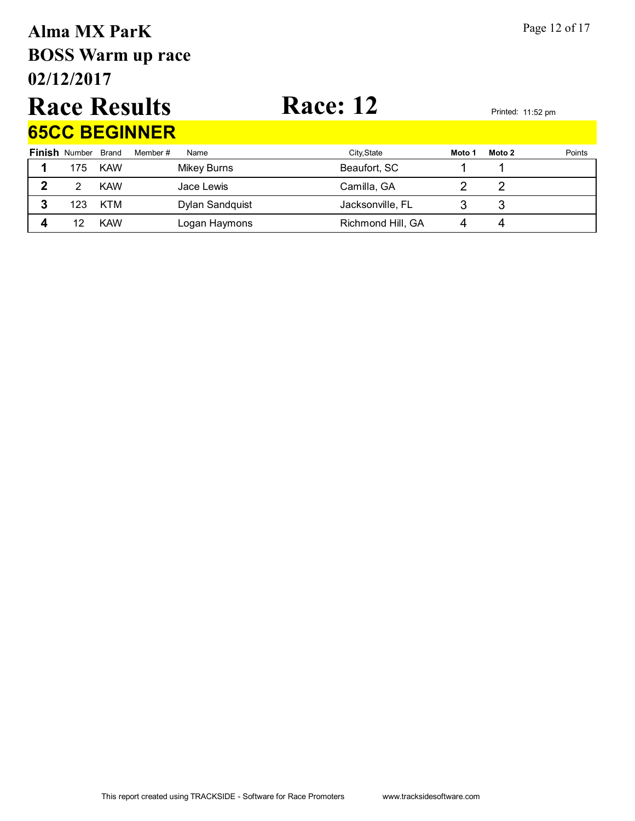# **02/12/2017 BOSS Warm up race Alma MX ParK** Page 12 of 17

### Race Results Race: 12 **65CC BEGINNER**

|   | <b>03UU DEUINNEK</b>       |            |                    |                   |        |        |        |  |  |  |  |  |
|---|----------------------------|------------|--------------------|-------------------|--------|--------|--------|--|--|--|--|--|
|   | <b>Finish Number Brand</b> |            | Member #<br>Name   | City, State       | Moto 1 | Moto 2 | Points |  |  |  |  |  |
|   | 175                        | <b>KAW</b> | <b>Mikey Burns</b> | Beaufort, SC      |        |        |        |  |  |  |  |  |
|   |                            | <b>KAW</b> | Jace Lewis         | Camilla, GA       |        |        |        |  |  |  |  |  |
| 3 | 123                        | KTM        | Dylan Sandquist    | Jacksonville, FL  |        |        |        |  |  |  |  |  |
|   |                            | <b>KAW</b> | Logan Haymons      | Richmond Hill, GA |        |        |        |  |  |  |  |  |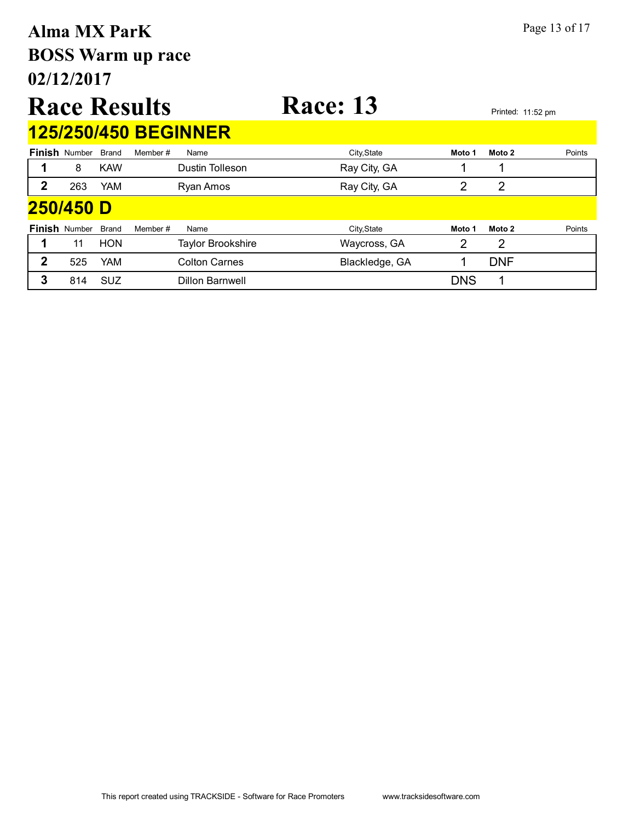### **02/12/2017 BOSS Warm up race Alma MX ParK** Page 13 of 17 Race Results Race: 13 **Finish** Number Brand Member # Name **City,State** City,State **Moto 1 Moto 2** Points **125/250/450 BEGINNER** 1 8 KAW Dustin Tolleson **Ray City, GA** 1 1 **2** 263 YAM Ryan Amos Ray City, GA 2 2 **Finish** Number Brand Member # Name City,State **Moto 1 Moto 2** Points **250/450 D 1** 11 HON Taylor Brookshire Maycross, GA 2 2

**2** 525 YAM Colton Carnes Blackledge, GA 1 DNF **3** 814 SUZ Dillon Barnwell DNS 1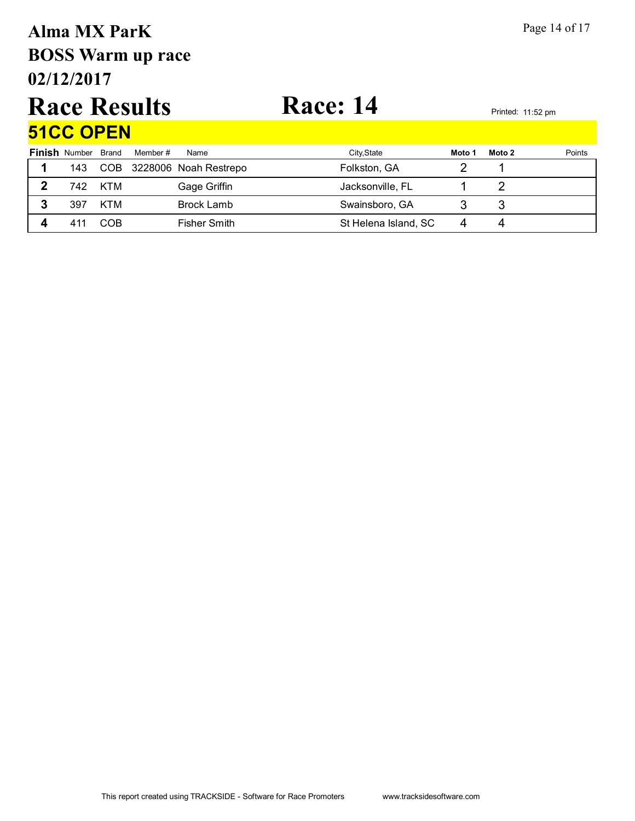# **02/12/2017 BOSS Warm up race Alma MX ParK** Page 14 of 17

### Race Results Race: 14 **51CC OPEN**

| <u>JIVY UFEN</u> |                            |     |          |                               |                      |        |        |        |  |
|------------------|----------------------------|-----|----------|-------------------------------|----------------------|--------|--------|--------|--|
|                  | <b>Finish</b> Number Brand |     | Member # | Name                          | City, State          | Moto 1 | Moto 2 | Points |  |
|                  |                            |     |          | 143 COB 3228006 Noah Restrepo | Folkston, GA         |        |        |        |  |
|                  | 742                        | KTM |          | Gage Griffin                  | Jacksonville, FL     |        |        |        |  |
|                  | 397                        | KTM |          | Brock Lamb                    | Swainsboro, GA       |        |        |        |  |
|                  | 411                        | COB |          | Fisher Smith                  | St Helena Island, SC |        | 4      |        |  |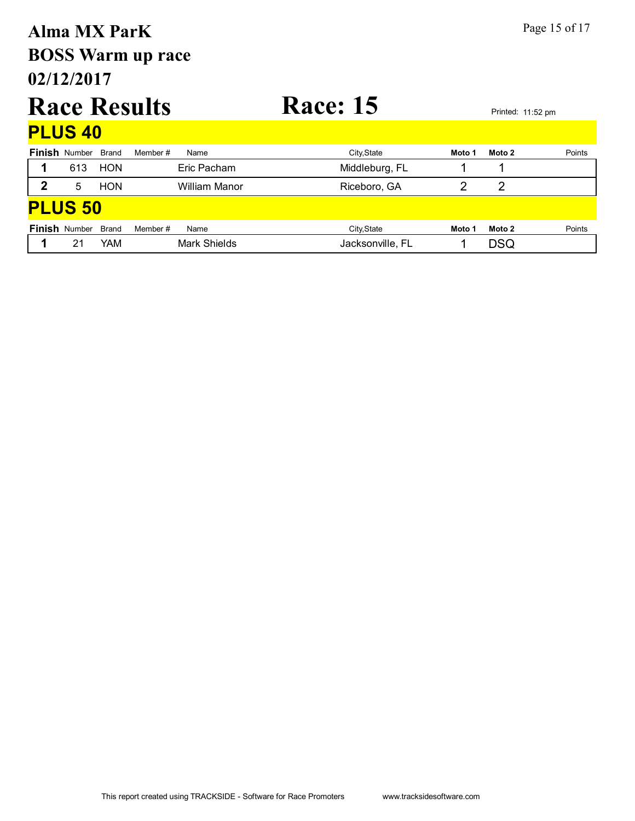# **02/12/2017 BOSS Warm up race Alma MX ParK** Page 15 of 17 Race Results Race: 15 **PLUS 40**

**PLUS 50**

**Finish** Number Brand Member # Name City,State **Moto 1 Moto 2** Points

**Finish** Number Brand Member # Name City,State **Moto 1 Moto 2** Points

**1** 613 HON Eric Pacham Middleburg, FL 1 1 **2** 5 HON William Manor Riceboro, GA 2 2

**1** 21 YAM Mark Shields **Jacksonville, FL** 1 DSQ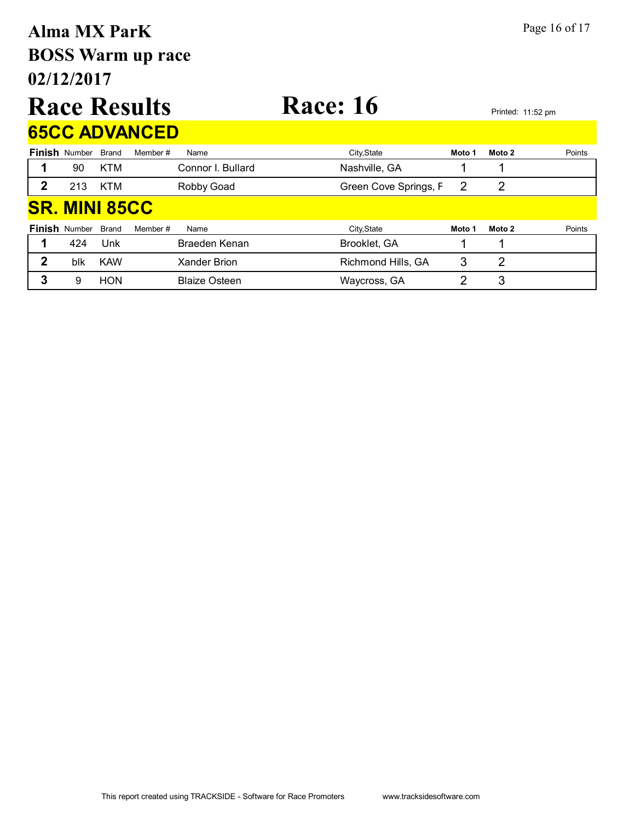### **02/12/2017 BOSS Warm up race Alma MX ParK** Page 16 of 17 **Race Results Race: 16** Printed: 11:52 pm **Finish** Number Brand Member # Name City,State **Moto 1 Moto 2** Points **65CC ADVANCED** 1 90 KTM Connor I. Bullard Nashville, GA 1 1 2 213 KTM Robby Goad Green Cove Springs, F 2 2 **SR. MINI 85CC**

| <b>Finish</b> Number Brand |            | Member #<br>Name     | City, State        | Moto 1 | Moto 2 | Points |
|----------------------------|------------|----------------------|--------------------|--------|--------|--------|
| 424                        | Unk        | Braeden Kenan        | Brooklet, GA       |        |        |        |
| blk                        | <b>KAW</b> | Xander Brion         | Richmond Hills, GA |        |        |        |
|                            | <b>HON</b> | <b>Blaize Osteen</b> | Waycross, GA       |        |        |        |